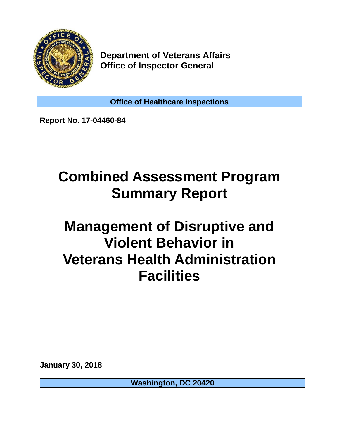

**Department of Veterans Affairs Office of Inspector General**

**Office of Healthcare Inspections**

**Report No. 17-04460-84**

## **Combined Assessment Program Summary Report**

## **Management of Disruptive and Violent Behavior in Veterans Health Administration Facilities**

**January 30, 2018**

**Washington, DC 20420**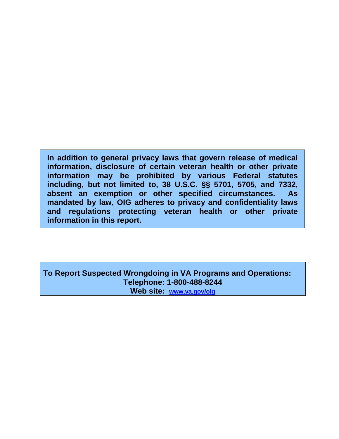**In addition to general privacy laws that govern release of medical information, disclosure of certain veteran health or other private information may be prohibited by various Federal statutes including, but not limited to, 38 U.S.C. §§ 5701, 5705, and 7332, absent an exemption or other specified circumstances. As mandated by law, OIG adheres to privacy and confidentiality laws and regulations protecting veteran health or other private information in this report.**

**To Report Suspected Wrongdoing in VA Programs and Operations: Telephone: 1-800-488-8244 Web site: [www.va.gov/oig](http://www.va.gov/oig)**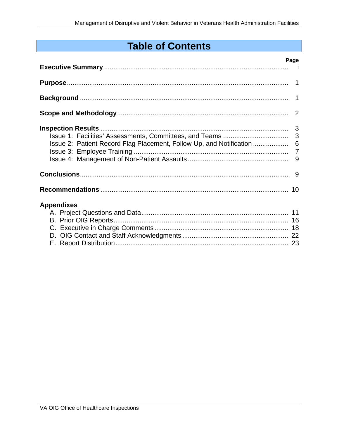## **Table of Contents**

|                                                                        | Page |
|------------------------------------------------------------------------|------|
|                                                                        |      |
|                                                                        |      |
|                                                                        |      |
|                                                                        |      |
| Issue 2: Patient Record Flag Placement, Follow-Up, and Notification  6 |      |
|                                                                        |      |
| <b>Appendixes</b>                                                      |      |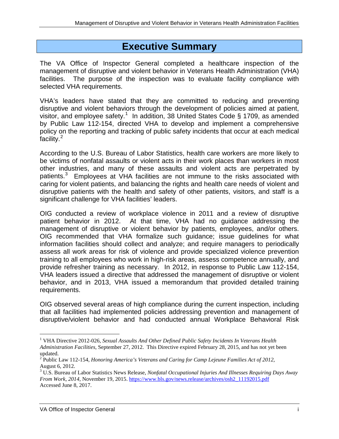## **Executive Summary**

The VA Office of Inspector General completed a healthcare inspection of the management of disruptive and violent behavior in Veterans Health Administration (VHA) facilities. The purpose of the inspection was to evaluate facility compliance with selected VHA requirements.

VHA's leaders have stated that they are committed to reducing and preventing disruptive and violent behaviors through the development of policies aimed at patient, visitor, and employee safety.<sup>[1](#page-3-0)</sup> In addition, 38 United States Code § 1709, as amended by Public Law 112-154, directed VHA to develop and implement a comprehensive policy on the reporting and tracking of public safety incidents that occur at each medical facility.<sup>[2](#page-3-1)</sup>

According to the U.S. Bureau of Labor Statistics, health care workers are more likely to be victims of nonfatal assaults or violent acts in their work places than workers in most other industries, and many of these assaults and violent acts are perpetrated by patients. $3$  Employees at VHA facilities are not immune to the risks associated with caring for violent patients, and balancing the rights and health care needs of violent and disruptive patients with the health and safety of other patients, visitors, and staff is a significant challenge for VHA facilities' leaders.

OIG conducted a review of workplace violence in 2011 and a review of disruptive patient behavior in 2012. At that time, VHA had no guidance addressing the management of disruptive or violent behavior by patients, employees, and/or others. OIG recommended that VHA formalize such guidance; issue guidelines for what information facilities should collect and analyze; and require managers to periodically assess all work areas for risk of violence and provide specialized violence prevention training to all employees who work in high-risk areas, assess competence annually, and provide refresher training as necessary. In 2012, in response to Public Law 112-154, VHA leaders issued a directive that addressed the management of disruptive or violent behavior, and in 2013, VHA issued a memorandum that provided detailed training requirements.

OIG observed several areas of high compliance during the current inspection, including that all facilities had implemented policies addressing prevention and management of disruptive/violent behavior and had conducted annual Workplace Behavioral Risk

<span id="page-3-0"></span><sup>1</sup> VHA Directive 2012-026, *Sexual Assaults And Other Defined Public Safety Incidents In Veterans Health Administration Facilities*, September 27, 2012. This Directive expired February 28, 2015, and has not yet been updated.

<span id="page-3-1"></span><sup>2</sup> Public Law 112-154, *Honoring America's Veterans and Caring for Camp Lejeune Families Act of 2012*, August 6, 2012.

<span id="page-3-2"></span><sup>3</sup> U.S. Bureau of Labor Statistics News Release, *Nonfatal Occupational Injuries And Illnesses Requiring Days Away From Work, 2014*, November 19, 2015. [https://www.bls.gov/news.release/archives/osh2\\_11192015.pdf](https://www.bls.gov/news.release/archives/osh2_11192015.pdf) Accessed June 8, 2017.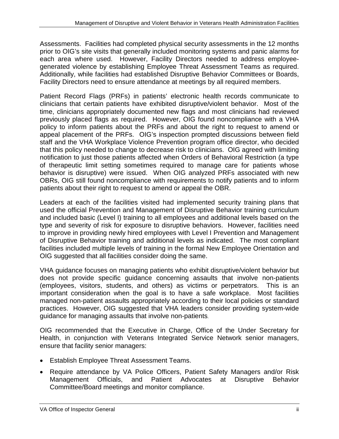Assessments. Facilities had completed physical security assessments in the 12 months prior to OIG's site visits that generally included monitoring systems and panic alarms for each area where used. However, Facility Directors needed to address employeegenerated violence by establishing Employee Threat Assessment Teams as required. Additionally, while facilities had established Disruptive Behavior Committees or Boards, Facility Directors need to ensure attendance at meetings by all required members.

Patient Record Flags (PRFs) in patients' electronic health records communicate to clinicians that certain patients have exhibited disruptive/violent behavior. Most of the time, clinicians appropriately documented new flags and most clinicians had reviewed previously placed flags as required. However, OIG found noncompliance with a VHA policy to inform patients about the PRFs and about the right to request to amend or appeal placement of the PRFs. OIG's inspection prompted discussions between field staff and the VHA Workplace Violence Prevention program office director, who decided that this policy needed to change to decrease risk to clinicians. OIG agreed with limiting notification to just those patients affected when Orders of Behavioral Restriction (a type of therapeutic limit setting sometimes required to manage care for patients whose behavior is disruptive) were issued. When OIG analyzed PRFs associated with new OBRs, OIG still found noncompliance with requirements to notify patients and to inform patients about their right to request to amend or appeal the OBR.

Leaders at each of the facilities visited had implemented security training plans that used the official Prevention and Management of Disruptive Behavior training curriculum and included basic (Level I) training to all employees and additional levels based on the type and severity of risk for exposure to disruptive behaviors. However, facilities need to improve in providing newly hired employees with Level I Prevention and Management of Disruptive Behavior training and additional levels as indicated. The most compliant facilities included multiple levels of training in the formal New Employee Orientation and OIG suggested that all facilities consider doing the same.

VHA guidance focuses on managing patients who exhibit disruptive/violent behavior but does not provide specific guidance concerning assaults that involve non-patients (employees, visitors, students, and others) as victims or perpetrators. This is an important consideration when the goal is to have a safe workplace. Most facilities managed non-patient assaults appropriately according to their local policies or standard practices. However, OIG suggested that VHA leaders consider providing system-wide guidance for managing assaults that involve non-patients.

OIG recommended that the Executive in Charge, Office of the Under Secretary for Health, in conjunction with Veterans Integrated Service Network senior managers, ensure that facility senior managers:

- Establish Employee Threat Assessment Teams.
- Require attendance by VA Police Officers, Patient Safety Managers and/or Risk Management Officials, and Patient Advocates at Disruptive Behavior Committee/Board meetings and monitor compliance.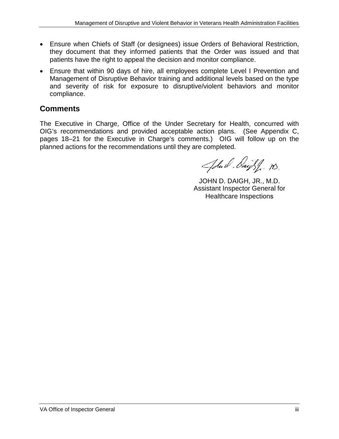- Ensure when Chiefs of Staff (or designees) issue Orders of Behavioral Restriction, they document that they informed patients that the Order was issued and that patients have the right to appeal the decision and monitor compliance.
- Ensure that within 90 days of hire, all employees complete Level I Prevention and Management of Disruptive Behavior training and additional levels based on the type and severity of risk for exposure to disruptive/violent behaviors and monitor compliance.

### **Comments**

The Executive in Charge, Office of the Under Secretary for Health, concurred with OIG's recommendations and provided acceptable action plans. (See Appendix C, pages 18–21 for the Executive in Charge's comments.) OIG will follow up on the planned actions for the recommendations until they are completed.

John Saight . M.

JOHN D. DAIGH, JR., M.D. Assistant Inspector General for Healthcare Inspections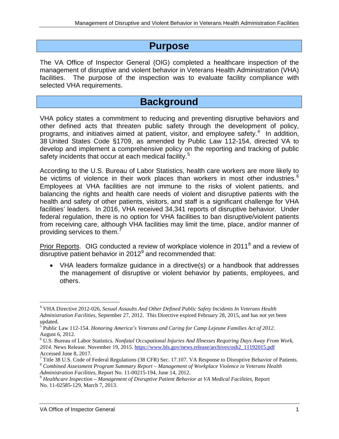## **Purpose**

The VA Office of Inspector General (OIG) completed a healthcare inspection of the management of disruptive and violent behavior in Veterans Health Administration (VHA) facilities. The purpose of the inspection was to evaluate facility compliance with selected VHA requirements.

## **Background**

VHA policy states a commitment to reducing and preventing disruptive behaviors and other defined acts that threaten public safety through the development of policy, programs, and initiatives aimed at patient, visitor, and employee safety. $4$  In addition, 38 United States Code §1709, as amended by Public Law 112-154, directed VA to develop and implement a comprehensive policy on the reporting and tracking of public safety incidents that occur at each medical facility.<sup>[5](#page-6-1)</sup>

According to the U.S. Bureau of Labor Statistics, health care workers are more likely to be victims of violence in their work places than workers in most other industries.<sup>[6](#page-6-2)</sup> Employees at VHA facilities are not immune to the risks of violent patients, and balancing the rights and health care needs of violent and disruptive patients with the health and safety of other patients, visitors, and staff is a significant challenge for VHA facilities' leaders. In 2016, VHA received 34,341 reports of disruptive behavior. Under federal regulation, there is no option for VHA facilities to ban disruptive/violent patients from receiving care, although VHA facilities may limit the time, place, and/or manner of providing services to them.<sup>[7](#page-6-3)</sup>

Prior Reports. OIG conducted a review of workplace violence in 2011<sup>[8](#page-6-4)</sup> and a review of disruptive patient behavior in  $2012<sup>9</sup>$  $2012<sup>9</sup>$  $2012<sup>9</sup>$  and recommended that:

• VHA leaders formalize guidance in a directive(s) or a handbook that addresses the management of disruptive or violent behavior by patients, employees, and others.

<span id="page-6-0"></span><sup>4</sup> VHA Directive 2012-026, *Sexual Assaults And Other Defined Public Safety Incidents In Veterans Health Administration Facilities*, September 27, 2012. This Directive expired February 28, 2015, and has not yet been updated.

<span id="page-6-1"></span><sup>5</sup> Public Law 112-154. *Honoring America's Veterans and Caring for Camp Lejeune Families Act of 2012*. August 6, 2012.

<span id="page-6-2"></span><sup>6</sup> U.S. Bureau of Labor Statistics. *Nonfatal Occupational Injuries And Illnesses Requiring Days Away From Work, 2014*. News Release. November 19, 2015. [https://www.bls.gov/news.release/archives/osh2\\_11192015.pdf](https://www.bls.gov/news.release/archives/osh2_11192015.pdf)

<span id="page-6-4"></span><span id="page-6-3"></span>Accessed June 8, 2017.<br><sup>7</sup> Title 38 U.S. Code of Federal Regulations (38 CFR) Sec. 17.107. VA Response to Disruptive Behavior of Patients.<br><sup>8</sup> Combined Assessment Program Summary Report – Management of Workplace Violence i

<span id="page-6-5"></span><sup>&</sup>lt;sup>9</sup> Healthcare Inspection – Management of Disruptive Patient Behavior at VA Medical Facilities, Report No. 11-02585-129, March 7, 2013.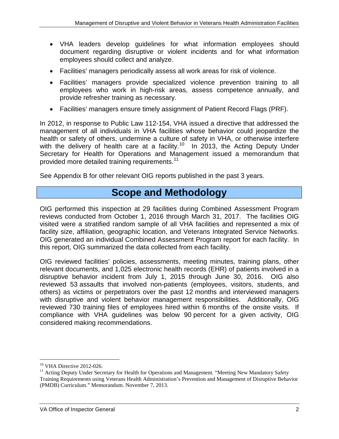- VHA leaders develop guidelines for what information employees should document regarding disruptive or violent incidents and for what information employees should collect and analyze.
- Facilities' managers periodically assess all work areas for risk of violence.
- Facilities' managers provide specialized violence prevention training to all employees who work in high-risk areas, assess competence annually, and provide refresher training as necessary.
- Facilities' managers ensure timely assignment of Patient Record Flags (PRF).

In 2012, in response to Public Law 112-154, VHA issued a directive that addressed the management of all individuals in VHA facilities whose behavior could jeopardize the health or safety of others, undermine a culture of safety in VHA, or otherwise interfere with the delivery of health care at a facility.<sup>[10](#page-7-0)</sup> In 2013, the Acting Deputy Under Secretary for Health for Operations and Management issued a memorandum that provided more detailed training requirements.<sup>[11](#page-7-1)</sup>

See Appendix B for other relevant OIG reports published in the past 3 years.

## **Scope and Methodology**

OIG performed this inspection at 29 facilities during Combined Assessment Program reviews conducted from October 1, 2016 through March 31, 2017. The facilities OIG visited were a stratified random sample of all VHA facilities and represented a mix of facility size, affiliation, geographic location, and Veterans Integrated Service Networks. OIG generated an individual Combined Assessment Program report for each facility. In this report, OIG summarized the data collected from each facility.

OIG reviewed facilities' policies, assessments, meeting minutes, training plans, other relevant documents, and 1,025 electronic health records (EHR) of patients involved in a disruptive behavior incident from July 1, 2015 through June 30, 2016. OIG also reviewed 53 assaults that involved non-patients (employees, visitors, students, and others) as victims or perpetrators over the past 12 months and interviewed managers with disruptive and violent behavior management responsibilities. Additionally, OIG reviewed 730 training files of employees hired within 6 months of the onsite visits. If compliance with VHA guidelines was below 90 percent for a given activity, OIG considered making recommendations.

<span id="page-7-0"></span> $10$  VHA Directive 2012-026.

<span id="page-7-1"></span> $11$  Acting Deputy Under Secretary for Health for Operations and Management. "Meeting New Mandatory Safety Training Requirements using Veterans Health Administration's Prevention and Management of Disruptive Behavior (PMDB) Curriculum." Memorandum. November 7, 2013.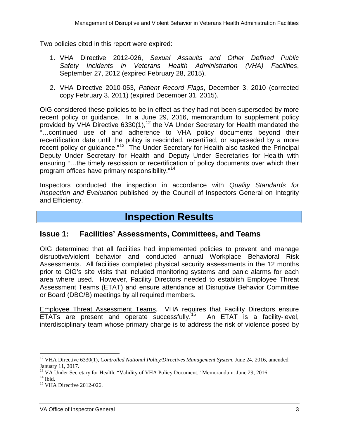Two policies cited in this report were expired:

- 1. VHA Directive 2012-026, *Sexual Assaults and Other Defined Public Safety Incidents in Veterans Health Administration (VHA) Facilities*, September 27, 2012 (expired February 28, 2015).
- 2. VHA Directive 2010-053, *Patient Record Flags*, December 3, 2010 (corrected copy February 3, 2011) (expired December 31, 2015).

OIG considered these policies to be in effect as they had not been superseded by more recent policy or guidance. In a June 29, 2016, memorandum to supplement policy provided by VHA Directive  $6330(1)$ ,<sup>[12](#page-8-0)</sup> the VA Under Secretary for Health mandated the "…continued use of and adherence to VHA policy documents beyond their recertification date until the policy is rescinded, recertified, or superseded by a more recent policy or guidance."<sup>13</sup> The Under Secretary for Health also tasked the Principal Deputy Under Secretary for Health and Deputy Under Secretaries for Health with ensuring "…the timely rescission or recertification of policy documents over which their program offices have primary responsibility."[14](#page-8-2)

Inspectors conducted the inspection in accordance with *Quality Standards for Inspection and Evaluation* published by the Council of Inspectors General on Integrity and Efficiency.

## **Inspection Results**

#### **Issue 1: Facilities' Assessments, Committees, and Teams**

OIG determined that all facilities had implemented policies to prevent and manage disruptive/violent behavior and conducted annual Workplace Behavioral Risk Assessments. All facilities completed physical security assessments in the 12 months prior to OIG's site visits that included monitoring systems and panic alarms for each area where used. However, Facility Directors needed to establish Employee Threat Assessment Teams (ETAT) and ensure attendance at Disruptive Behavior Committee or Board (DBC/B) meetings by all required members.

Employee Threat Assessment Teams. VHA requires that Facility Directors ensure ETATs are present and operate successfully.<sup>[15](#page-8-3)</sup> An ETAT is a facility-level, interdisciplinary team whose primary charge is to address the risk of violence posed by

<span id="page-8-0"></span><sup>&</sup>lt;sup>12</sup> VHA Directive 6330(1), *Controlled National Policy/Directives Management System*, June 24, 2016, amended January 11, 2017.

<span id="page-8-1"></span><sup>&</sup>lt;sup>13</sup> VA Under Secretary for Health. "Validity of VHA Policy Document." Memorandum. June 29, 2016.<br><sup>14</sup> Ibid. <sup>15</sup> VHA Directive 2012-026.

<span id="page-8-2"></span>

<span id="page-8-3"></span>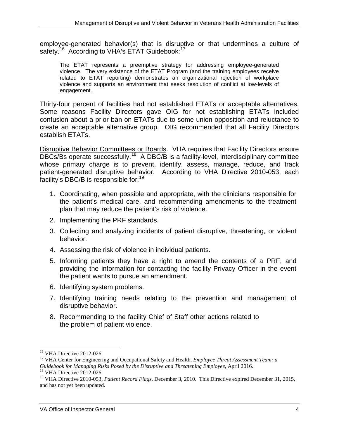employee-generated behavior(s) that is disruptive or that undermines a culture of safety.<sup>16</sup> According to VHA's ETAT Guidebook:<sup>[17](#page-9-1)</sup>

The ETAT represents a preemptive strategy for addressing employee-generated violence. The very existence of the ETAT Program (and the training employees receive related to ETAT reporting) demonstrates an organizational rejection of workplace violence and supports an environment that seeks resolution of conflict at low-levels of engagement.

Thirty-four percent of facilities had not established ETATs or acceptable alternatives. Some reasons Facility Directors gave OIG for not establishing ETATs included confusion about a prior ban on ETATs due to some union opposition and reluctance to create an acceptable alternative group. OIG recommended that all Facility Directors establish ETATs.

Disruptive Behavior Committees or Boards. VHA requires that Facility Directors ensure DBCs/Bs operate successfully.<sup>[18](#page-9-2)</sup> A DBC/B is a facility-level, interdisciplinary committee whose primary charge is to prevent, identify, assess, manage, reduce, and track patient-generated disruptive behavior. According to VHA Directive 2010-053, each facility's DBC/B is responsible for:<sup>[19](#page-9-3)</sup>

- 1. Coordinating, when possible and appropriate, with the clinicians responsible for the patient's medical care, and recommending amendments to the treatment plan that may reduce the patient's risk of violence.
- 2. Implementing the PRF standards.
- 3. Collecting and analyzing incidents of patient disruptive, threatening, or violent behavior.
- 4. Assessing the risk of violence in individual patients.
- 5. Informing patients they have a right to amend the contents of a PRF, and providing the information for contacting the facility Privacy Officer in the event the patient wants to pursue an amendment.
- 6. Identifying system problems.
- 7. Identifying training needs relating to the prevention and management of disruptive behavior.
- 8. Recommending to the facility Chief of Staff other actions related to the problem of patient violence.

<span id="page-9-1"></span><span id="page-9-0"></span><sup>&</sup>lt;sup>16</sup> VHA Directive 2012-026.<br><sup>17</sup> VHA Center for Engineering and Occupational Safety and Health, *Employee Threat Assessment Team: a Guidebook for Managing Risks Posed by the Disruptive and Threatening Employee*, April 2016. <sup>18</sup> VHA Directive 2012-026.

<span id="page-9-3"></span><span id="page-9-2"></span><sup>&</sup>lt;sup>19</sup> VHA Directive 2010-053, *Patient Record Flags*, December 3, 2010. This Directive expired December 31, 2015, and has not yet been updated.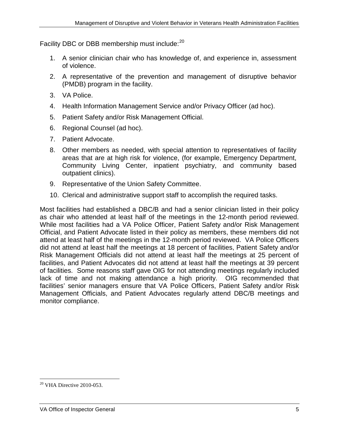Facility DBC or DBB membership must include:<sup>[20](#page-10-0)</sup>

- 1. A senior clinician chair who has knowledge of, and experience in, assessment of violence.
- 2. A representative of the prevention and management of disruptive behavior (PMDB) program in the facility.
- 3. VA Police.
- 4. Health Information Management Service and/or Privacy Officer (ad hoc).
- 5. Patient Safety and/or Risk Management Official.
- 6. Regional Counsel (ad hoc).
- 7. Patient Advocate.
- 8. Other members as needed, with special attention to representatives of facility areas that are at high risk for violence, (for example, Emergency Department, Community Living Center, inpatient psychiatry, and community based outpatient clinics).
- 9. Representative of the Union Safety Committee.
- 10. Clerical and administrative support staff to accomplish the required tasks.

Most facilities had established a DBC/B and had a senior clinician listed in their policy as chair who attended at least half of the meetings in the 12-month period reviewed. While most facilities had a VA Police Officer, Patient Safety and/or Risk Management Official, and Patient Advocate listed in their policy as members, these members did not attend at least half of the meetings in the 12-month period reviewed. VA Police Officers did not attend at least half the meetings at 18 percent of facilities, Patient Safety and/or Risk Management Officials did not attend at least half the meetings at 25 percent of facilities, and Patient Advocates did not attend at least half the meetings at 39 percent of facilities. Some reasons staff gave OIG for not attending meetings regularly included lack of time and not making attendance a high priority. OIG recommended that facilities' senior managers ensure that VA Police Officers, Patient Safety and/or Risk Management Officials, and Patient Advocates regularly attend DBC/B meetings and monitor compliance.

<span id="page-10-0"></span><sup>&</sup>lt;sup>20</sup> VHA Directive 2010-053.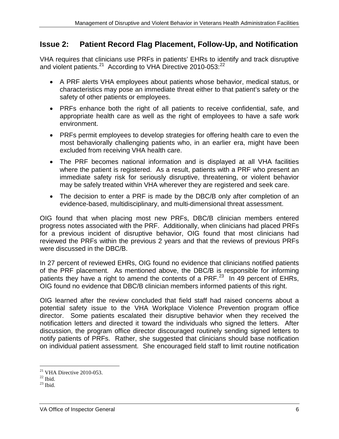#### **Issue 2: Patient Record Flag Placement, Follow-Up, and Notification**

VHA requires that clinicians use PRFs in patients' EHRs to identify and track disruptive and violent patients.<sup>[21](#page-11-0)</sup> According to VHA Directive 2010-053:<sup>22</sup>

- A PRF alerts VHA employees about patients whose behavior, medical status, or characteristics may pose an immediate threat either to that patient's safety or the safety of other patients or employees.
- PRFs enhance both the right of all patients to receive confidential, safe, and appropriate health care as well as the right of employees to have a safe work environment.
- PRFs permit employees to develop strategies for offering health care to even the most behaviorally challenging patients who, in an earlier era, might have been excluded from receiving VHA health care.
- The PRF becomes national information and is displayed at all VHA facilities where the patient is registered. As a result, patients with a PRF who present an immediate safety risk for seriously disruptive, threatening, or violent behavior may be safely treated within VHA wherever they are registered and seek care.
- The decision to enter a PRF is made by the DBC/B only after completion of an evidence-based, multidisciplinary, and multi-dimensional threat assessment.

OIG found that when placing most new PRFs, DBC/B clinician members entered progress notes associated with the PRF. Additionally, when clinicians had placed PRFs for a previous incident of disruptive behavior, OIG found that most clinicians had reviewed the PRFs within the previous 2 years and that the reviews of previous PRFs were discussed in the DBC/B.

In 27 percent of reviewed EHRs, OIG found no evidence that clinicians notified patients of the PRF placement. As mentioned above, the DBC/B is responsible for informing patients they have a right to amend the contents of a PRF. $^{23}$  In 49 percent of EHRs, OIG found no evidence that DBC/B clinician members informed patients of this right.

OIG learned after the review concluded that field staff had raised concerns about a potential safety issue to the VHA Workplace Violence Prevention program office director. Some patients escalated their disruptive behavior when they received the notification letters and directed it toward the individuals who signed the letters. After discussion, the program office director discouraged routinely sending signed letters to notify patients of PRFs. Rather, she suggested that clinicians should base notification on individual patient assessment. She encouraged field staff to limit routine notification

 $\overline{a}$ <sup>21</sup> VHA Directive 2010-053.<br><sup>22</sup> Ibid.<br><sup>23</sup> Ibid.

<span id="page-11-1"></span><span id="page-11-0"></span>

<span id="page-11-2"></span>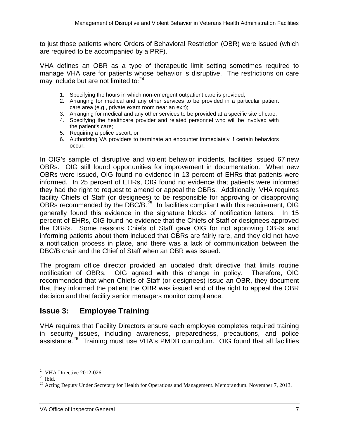to just those patients where Orders of Behavioral Restriction (OBR) were issued (which are required to be accompanied by a PRF).

VHA defines an OBR as a type of therapeutic limit setting sometimes required to manage VHA care for patients whose behavior is disruptive. The restrictions on care may include but are not limited to:<sup>[24](#page-12-0)</sup>

- 1. Specifying the hours in which non-emergent outpatient care is provided;
- 2. Arranging for medical and any other services to be provided in a particular patient care area (e.g., private exam room near an exit);
- 3. Arranging for medical and any other services to be provided at a specific site of care;
- 4. Specifying the healthcare provider and related personnel who will be involved with the patient's care;
- 5. Requiring a police escort; or
- 6. Authorizing VA providers to terminate an encounter immediately if certain behaviors occur.

In OIG's sample of disruptive and violent behavior incidents, facilities issued 67 new OBRs. OIG still found opportunities for improvement in documentation. When new OBRs were issued, OIG found no evidence in 13 percent of EHRs that patients were informed. In 25 percent of EHRs, OIG found no evidence that patients were informed they had the right to request to amend or appeal the OBRs. Additionally, VHA requires facility Chiefs of Staff (or designees) to be responsible for approving or disapproving OBRs recommended by the DBC/B. $^{25}$  $^{25}$  $^{25}$  In facilities compliant with this requirement, OIG generally found this evidence in the signature blocks of notification letters. In 15 percent of EHRs, OIG found no evidence that the Chiefs of Staff or designees approved the OBRs. Some reasons Chiefs of Staff gave OIG for not approving OBRs and informing patients about them included that OBRs are fairly rare, and they did not have a notification process in place, and there was a lack of communication between the DBC/B chair and the Chief of Staff when an OBR was issued.

The program office director provided an updated draft directive that limits routine notification of OBRs. OIG agreed with this change in policy. Therefore, OIG recommended that when Chiefs of Staff (or designees) issue an OBR, they document that they informed the patient the OBR was issued and of the right to appeal the OBR decision and that facility senior managers monitor compliance.

#### **Issue 3: Employee Training**

VHA requires that Facility Directors ensure each employee completes required training in security issues, including awareness, preparedness, precautions, and police assistance.[26](#page-12-2) Training must use VHA's PMDB curriculum. OIG found that all facilities

 $\overline{a}$ 

<span id="page-12-2"></span><span id="page-12-1"></span>

<span id="page-12-0"></span><sup>&</sup>lt;sup>24</sup> VHA Directive 2012-026.<br><sup>25</sup> Ibid.<br><sup>26</sup> Acting Deputy Under Secretary for Health for Operations and Management. Memorandum. November 7, 2013.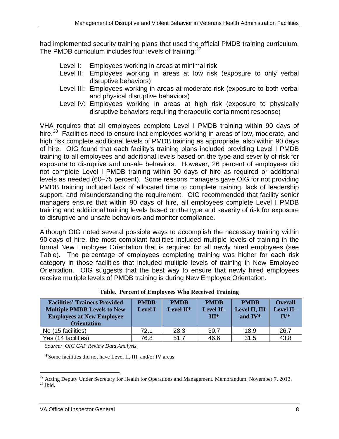had implemented security training plans that used the official PMDB training curriculum. The PMDB curriculum includes four levels of training:<sup>[27](#page-13-0)</sup>

- Level I: Employees working in areas at minimal risk
- Level II: Employees working in areas at low risk (exposure to only verbal disruptive behaviors)
- Level III: Employees working in areas at moderate risk (exposure to both verbal and physical disruptive behaviors)
- Level IV: Employees working in areas at high risk (exposure to physically disruptive behaviors requiring therapeutic containment response)

VHA requires that all employees complete Level I PMDB training within 90 days of hire.<sup>28</sup> Facilities need to ensure that employees working in areas of low, moderate, and high risk complete additional levels of PMDB training as appropriate, also within 90 days of hire. OIG found that each facility's training plans included providing Level I PMDB training to all employees and additional levels based on the type and severity of risk for exposure to disruptive and unsafe behaviors. However, 26 percent of employees did not complete Level I PMDB training within 90 days of hire as required or additional levels as needed (60–75 percent). Some reasons managers gave OIG for not providing PMDB training included lack of allocated time to complete training, lack of leadership support, and misunderstanding the requirement. OIG recommended that facility senior managers ensure that within 90 days of hire, all employees complete Level I PMDB training and additional training levels based on the type and severity of risk for exposure to disruptive and unsafe behaviors and monitor compliance.

Although OIG noted several possible ways to accomplish the necessary training within 90 days of hire, the most compliant facilities included multiple levels of training in the formal New Employee Orientation that is required for all newly hired employees (see Table). The percentage of employees completing training was higher for each risk category in those facilities that included multiple levels of training in New Employee Orientation. OIG suggests that the best way to ensure that newly hired employees receive multiple levels of PMDB training is during New Employee Orientation.

| <b>Facilities' Trainers Provided</b><br><b>Multiple PMDB Levels to New</b><br><b>Employees at New Employee</b><br><b>Orientation</b> | <b>PMDB</b><br><b>Level I</b> | <b>PMDB</b><br>Level $II^*$ | <b>PMDB</b><br>Level II-<br>$III*$ | <b>PMDB</b><br>Level II, III<br>and $IV^*$ | <b>Overall</b><br>Level II-<br>$IV^*$ |
|--------------------------------------------------------------------------------------------------------------------------------------|-------------------------------|-----------------------------|------------------------------------|--------------------------------------------|---------------------------------------|
| No (15 facilities)                                                                                                                   | 72.1                          | 28.3                        | 30.7                               | 18.9                                       | 26.7                                  |
| Yes (14 facilities)                                                                                                                  | 76.8                          | 51.7                        | 46.6                               | 31.5                                       | 43.8                                  |

|  | Table. Percent of Employees Who Received Training |  |  |  |
|--|---------------------------------------------------|--|--|--|
|--|---------------------------------------------------|--|--|--|

*Source: OIG CAP Review Data Analysis*

\*Some facilities did not have Level II, III, and/or IV areas

<span id="page-13-1"></span><span id="page-13-0"></span> $\overline{a}$ <sup>27</sup> Acting Deputy Under Secretary for Health for Operations and Management. Memorandum. November 7, 2013.<br><sup>28</sup>.Ibid.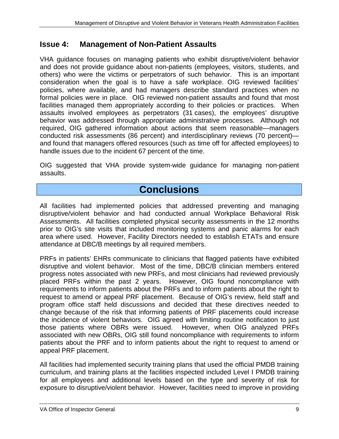#### **Issue 4: Management of Non-Patient Assaults**

VHA guidance focuses on managing patients who exhibit disruptive/violent behavior and does not provide guidance about non-patients (employees, visitors, students, and others) who were the victims or perpetrators of such behavior. This is an important consideration when the goal is to have a safe workplace. OIG reviewed facilities' policies, where available, and had managers describe standard practices when no formal policies were in place. OIG reviewed non-patient assaults and found that most facilities managed them appropriately according to their policies or practices. When assaults involved employees as perpetrators (31 cases), the employees' disruptive behavior was addressed through appropriate administrative processes. Although not required, OIG gathered information about actions that seem reasonable—managers conducted risk assessments (86 percent) and interdisciplinary reviews (70 percent) and found that managers offered resources (such as time off for affected employees) to handle issues due to the incident 67 percent of the time.

OIG suggested that VHA provide system-wide guidance for managing non-patient assaults.

## **Conclusions**

All facilities had implemented policies that addressed preventing and managing disruptive/violent behavior and had conducted annual Workplace Behavioral Risk Assessments. All facilities completed physical security assessments in the 12 months prior to OIG's site visits that included monitoring systems and panic alarms for each area where used. However, Facility Directors needed to establish ETATs and ensure attendance at DBC/B meetings by all required members.

PRFs in patients' EHRs communicate to clinicians that flagged patients have exhibited disruptive and violent behavior. Most of the time, DBC/B clinician members entered progress notes associated with new PRFs, and most clinicians had reviewed previously placed PRFs within the past 2 years. However, OIG found noncompliance with requirements to inform patients about the PRFs and to inform patients about the right to request to amend or appeal PRF placement. Because of OIG's review, field staff and program office staff held discussions and decided that these directives needed to change because of the risk that informing patients of PRF placements could increase the incidence of violent behaviors. OIG agreed with limiting routine notification to just those patients where OBRs were issued. However, when OIG analyzed PRFs associated with new OBRs, OIG still found noncompliance with requirements to inform patients about the PRF and to inform patients about the right to request to amend or appeal PRF placement.

All facilities had implemented security training plans that used the official PMDB training curriculum, and training plans at the facilities inspected included Level I PMDB training for all employees and additional levels based on the type and severity of risk for exposure to disruptive/violent behavior. However, facilities need to improve in providing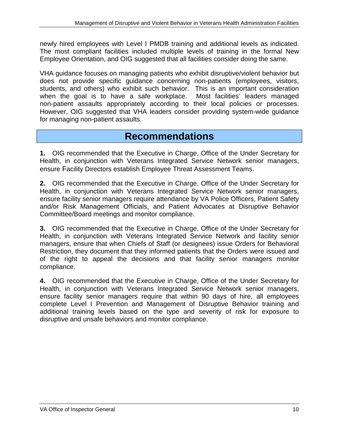newly hired employees with Level I PMDB training and additional levels as indicated. The most compliant facilities included multiple levels of training in the formal New Employee Orientation, and OIG suggested that all facilities consider doing the same.

VHA guidance focuses on managing patients who exhibit disruptive/violent behavior but does not provide specific guidance concerning non-patients (employees, visitors, students, and others) who exhibit such behavior. This is an important consideration when the goal is to have a safe workplace. Most facilities' leaders managed non-patient assaults appropriately according to their local policies or processes. However, OIG suggested that VHA leaders consider providing system-wide guidance for managing non-patient assaults.

## **Recommendations**

**1.** OIG recommended that the Executive in Charge, Office of the Under Secretary for Health, in conjunction with Veterans Integrated Service Network senior managers, ensure Facility Directors establish Employee Threat Assessment Teams.

**2.** OIG recommended that the Executive in Charge, Office of the Under Secretary for Health, in conjunction with Veterans Integrated Service Network senior managers, ensure facility senior managers require attendance by VA Police Officers, Patient Safety and/or Risk Management Officials, and Patient Advocates at Disruptive Behavior Committee/Board meetings and monitor compliance.

**3.** OIG recommended that the Executive in Charge, Office of the Under Secretary for Health, in conjunction with Veterans Integrated Service Network and facility senior managers, ensure that when Chiefs of Staff (or designees) issue Orders for Behavioral Restriction, they document that they informed patients that the Orders were issued and of the right to appeal the decisions and that facility senior managers monitor compliance.

**4.** OIG recommended that the Executive in Charge, Office of the Under Secretary for Health, in conjunction with Veterans Integrated Service Network senior managers, ensure facility senior managers require that within 90 days of hire, all employees complete Level I Prevention and Management of Disruptive Behavior training and additional training levels based on the type and severity of risk for exposure to disruptive and unsafe behaviors and monitor compliance.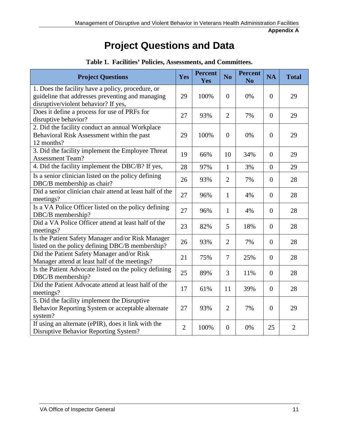**Appendix A**

## **Project Questions and Data**

| <b>Project Questions</b>                                                                                                                      | Yes            | <b>Percent</b><br>Yes | N <sub>0</sub> | <b>Percent</b><br>N <sub>o</sub> | <b>NA</b>      | <b>Total</b>   |
|-----------------------------------------------------------------------------------------------------------------------------------------------|----------------|-----------------------|----------------|----------------------------------|----------------|----------------|
| 1. Does the facility have a policy, procedure, or<br>guideline that addresses preventing and managing<br>disruptive/violent behavior? If yes, | 29             | 100%                  | $\Omega$       | 0%                               | $\overline{0}$ | 29             |
| Does it define a process for use of PRFs for<br>disruptive behavior?                                                                          | 27             | 93%                   | $\overline{2}$ | 7%                               | $\overline{0}$ | 29             |
| 2. Did the facility conduct an annual Workplace<br>Behavioral Risk Assessment within the past<br>12 months?                                   | 29             | 100%                  | $\overline{0}$ | 0%                               | $\overline{0}$ | 29             |
| 3. Did the facility implement the Employee Threat<br><b>Assessment Team?</b>                                                                  | 19             | 66%                   | 10             | 34%                              | $\Omega$       | 29             |
| 4. Did the facility implement the DBC/B? If yes,                                                                                              | 28             | 97%                   | $\mathbf{1}$   | 3%                               | $\overline{0}$ | 29             |
| Is a senior clinician listed on the policy defining<br>DBC/B membership as chair?                                                             | 26             | 93%                   | $\overline{2}$ | 7%                               | $\overline{0}$ | 28             |
| Did a senior clinician chair attend at least half of the<br>meetings?                                                                         | 27             | 96%                   | $\mathbf{1}$   | 4%                               | $\overline{0}$ | 28             |
| Is a VA Police Officer listed on the policy defining<br>DBC/B membership?                                                                     | 27             | 96%                   | $\mathbf{1}$   | 4%                               | $\overline{0}$ | 28             |
| Did a VA Police Officer attend at least half of the<br>meetings?                                                                              | 23             | 82%                   | 5              | 18%                              | $\overline{0}$ | 28             |
| Is the Patient Safety Manager and/or Risk Manager<br>listed on the policy defining DBC/B membership?                                          | 26             | 93%                   | $\overline{2}$ | 7%                               | $\overline{0}$ | 28             |
| Did the Patient Safety Manager and/or Risk<br>Manager attend at least half of the meetings?                                                   | 21             | 75%                   | $\overline{7}$ | 25%                              | $\overline{0}$ | 28             |
| Is the Patient Advocate listed on the policy defining<br>DBC/B membership?                                                                    | 25             | 89%                   | 3              | 11%                              | $\overline{0}$ | 28             |
| Did the Patient Advocate attend at least half of the<br>meetings?                                                                             | 17             | 61%                   | 11             | 39%                              | $\overline{0}$ | 28             |
| 5. Did the facility implement the Disruptive<br>Behavior Reporting System or acceptable alternate<br>system?                                  | 27             | 93%                   | $\overline{2}$ | 7%                               | $\Omega$       | 29             |
| If using an alternate (ePIR), does it link with the<br><b>Disruptive Behavior Reporting System?</b>                                           | $\overline{2}$ | 100%                  | $\overline{0}$ | 0%                               | 25             | $\overline{2}$ |

#### **Table 1. Facilities' Policies, Assessments, and Committees.**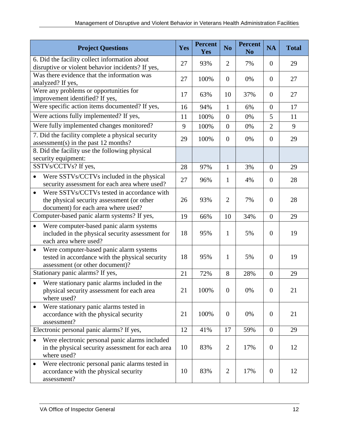| <b>Project Questions</b>                                                                                                                     | Yes | <b>Percent</b><br><b>Yes</b> | N <sub>o</sub> | <b>Percent</b><br>N <sub>0</sub> | <b>NA</b>        | <b>Total</b> |
|----------------------------------------------------------------------------------------------------------------------------------------------|-----|------------------------------|----------------|----------------------------------|------------------|--------------|
| 6. Did the facility collect information about                                                                                                | 27  | 93%                          | 2              | 7%                               | $\theta$         | 29           |
| disruptive or violent behavior incidents? If yes,                                                                                            |     |                              |                |                                  |                  |              |
| Was there evidence that the information was<br>analyzed? If yes,                                                                             | 27  | 100%                         | $\mathbf{0}$   | 0%                               | $\overline{0}$   | 27           |
| Were any problems or opportunities for<br>improvement identified? If yes,                                                                    | 17  | 63%                          | 10             | 37%                              | $\theta$         | 27           |
| Were specific action items documented? If yes,                                                                                               | 16  | 94%                          | $\mathbf{1}$   | 6%                               | $\overline{0}$   | 17           |
| Were actions fully implemented? If yes,                                                                                                      | 11  | 100%                         | $\overline{0}$ | 0%                               | 5                | 11           |
| Were fully implemented changes monitored?                                                                                                    | 9   | 100%                         | $\overline{0}$ | 0%                               | $\overline{2}$   | 9            |
| 7. Did the facility complete a physical security<br>assessment(s) in the past 12 months?                                                     | 29  | 100%                         | $\mathbf{0}$   | 0%                               | $\theta$         | 29           |
| 8. Did the facility use the following physical<br>security equipment:                                                                        |     |                              |                |                                  |                  |              |
| SSTVs/CCTVs? If yes,                                                                                                                         | 28  | 97%                          | $\mathbf{1}$   | 3%                               | $\overline{0}$   | 29           |
| Were SSTVs/CCTVs included in the physical<br>$\bullet$<br>security assessment for each area where used?                                      | 27  | 96%                          | $\mathbf{1}$   | 4%                               | $\theta$         | 28           |
| Were SSTVs/CCTVs tested in accordance with<br>$\bullet$<br>the physical security assessment (or other<br>document) for each area where used? | 26  | 93%                          | $\overline{2}$ | 7%                               | $\theta$         | 28           |
| Computer-based panic alarm systems? If yes,                                                                                                  |     | 66%                          | 10             | 34%                              | $\overline{0}$   | 29           |
| Were computer-based panic alarm systems<br>$\bullet$<br>included in the physical security assessment for<br>each area where used?            |     | 95%                          | 1              | 5%                               | $\theta$         | 19           |
| Were computer-based panic alarm systems<br>$\bullet$<br>tested in accordance with the physical security<br>assessment (or other document)?   |     | 95%                          | 1              | 5%                               | $\overline{0}$   | 19           |
| Stationary panic alarms? If yes,                                                                                                             | 21  | 72%                          | 8              | 28%                              | $\boldsymbol{0}$ | 29           |
| Were stationary panic alarms included in the<br>physical security assessment for each area<br>where used?                                    | 21  | 100%                         | $\theta$       | 0%                               | $\mathbf{0}$     | 21           |
| Were stationary panic alarms tested in<br>accordance with the physical security<br>assessment?                                               | 21  | 100%                         | $\overline{0}$ | 0%                               | $\boldsymbol{0}$ | 21           |
| Electronic personal panic alarms? If yes,                                                                                                    | 12  | 41%                          | 17             | 59%                              | $\boldsymbol{0}$ | 29           |
| Were electronic personal panic alarms included<br>in the physical security assessment for each area<br>where used?                           | 10  | 83%                          | $\overline{2}$ | 17%                              | $\boldsymbol{0}$ | 12           |
| Were electronic personal panic alarms tested in<br>accordance with the physical security<br>assessment?                                      | 10  | 83%                          | $\overline{2}$ | 17%                              | $\overline{0}$   | 12           |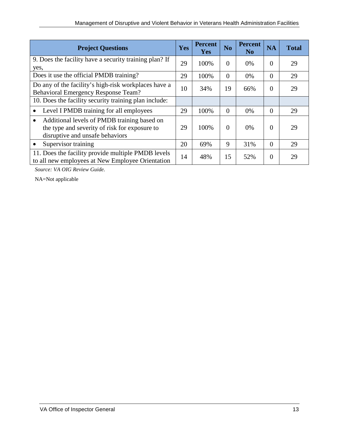| <b>Project Questions</b>                                                                                                                     |    | <b>Percent</b><br><b>Yes</b> | N <sub>o</sub> | <b>Percent</b><br>N <sub>0</sub> | <b>NA</b> | <b>Total</b> |
|----------------------------------------------------------------------------------------------------------------------------------------------|----|------------------------------|----------------|----------------------------------|-----------|--------------|
| 9. Does the facility have a security training plan? If<br>yes,                                                                               |    | 100%                         | $\Omega$       | $0\%$                            | $\Omega$  | 29           |
| Does it use the official PMDB training?                                                                                                      | 29 | 100%                         | $\Omega$       | 0%                               | $\Omega$  | 29           |
| Do any of the facility's high-risk workplaces have a<br><b>Behavioral Emergency Response Team?</b>                                           |    | 34%                          | 19             | 66%                              | $\Omega$  | 29           |
| 10. Does the facility security training plan include:                                                                                        |    |                              |                |                                  |           |              |
| Level I PMDB training for all employees                                                                                                      | 29 | 100%                         | $\Omega$       | $0\%$                            | $\Omega$  | 29           |
| Additional levels of PMDB training based on<br>$\bullet$<br>the type and severity of risk for exposure to<br>disruptive and unsafe behaviors | 29 | 100%                         | $\Omega$       | 0%                               | $\Omega$  | 29           |
| Supervisor training                                                                                                                          | 20 | 69%                          | 9              | 31%                              | $\Omega$  | 29           |
| 11. Does the facility provide multiple PMDB levels<br>to all new employees at New Employee Orientation                                       | 14 | 48%                          | 15             | 52%                              | $\Omega$  | 29           |

*Source: VA OIG Review Guide.* 

NA=Not applicable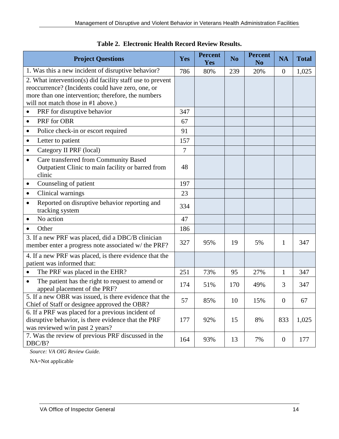| <b>Project Questions</b>                                                                                                                                                                                   | Yes | <b>Percent</b><br>Yes | N <sub>o</sub> | <b>Percent</b><br>N <sub>0</sub> | <b>NA</b>        | <b>Total</b> |
|------------------------------------------------------------------------------------------------------------------------------------------------------------------------------------------------------------|-----|-----------------------|----------------|----------------------------------|------------------|--------------|
| 1. Was this a new incident of disruptive behavior?                                                                                                                                                         | 786 | 80%                   | 239            | 20%                              | $\overline{0}$   | 1,025        |
| 2. What intervention(s) did facility staff use to prevent<br>reoccurrence? (Incidents could have zero, one, or<br>more than one intervention; therefore, the numbers<br>will not match those in #1 above.) |     |                       |                |                                  |                  |              |
| PRF for disruptive behavior<br>٠                                                                                                                                                                           | 347 |                       |                |                                  |                  |              |
| PRF for OBR<br>$\bullet$                                                                                                                                                                                   | 67  |                       |                |                                  |                  |              |
| Police check-in or escort required<br>٠                                                                                                                                                                    | 91  |                       |                |                                  |                  |              |
| Letter to patient<br>٠                                                                                                                                                                                     | 157 |                       |                |                                  |                  |              |
| Category II PRF (local)<br>٠                                                                                                                                                                               | 7   |                       |                |                                  |                  |              |
| Care transferred from Community Based<br>$\bullet$<br>Outpatient Clinic to main facility or barred from<br>clinic                                                                                          | 48  |                       |                |                                  |                  |              |
| Counseling of patient<br>$\bullet$                                                                                                                                                                         | 197 |                       |                |                                  |                  |              |
| Clinical warnings<br>$\bullet$                                                                                                                                                                             | 23  |                       |                |                                  |                  |              |
| Reported on disruptive behavior reporting and<br>٠<br>tracking system                                                                                                                                      | 334 |                       |                |                                  |                  |              |
| No action                                                                                                                                                                                                  | 47  |                       |                |                                  |                  |              |
| Other                                                                                                                                                                                                      | 186 |                       |                |                                  |                  |              |
| 3. If a new PRF was placed, did a DBC/B clinician<br>member enter a progress note associated w/ the PRF?                                                                                                   | 327 | 95%                   | 19             | 5%                               | 1                | 347          |
| 4. If a new PRF was placed, is there evidence that the<br>patient was informed that:                                                                                                                       |     |                       |                |                                  |                  |              |
| The PRF was placed in the EHR?                                                                                                                                                                             | 251 | 73%                   | 95             | 27%                              | $\mathbf{1}$     | 347          |
| The patient has the right to request to amend or<br>$\bullet$<br>appeal placement of the PRF?                                                                                                              | 174 | 51%                   | 170            | 49%                              | 3                | 347          |
| 5. If a new OBR was issued, is there evidence that the<br>Chief of Staff or designee approved the OBR?                                                                                                     | 57  | 85%                   | 10             | 15%                              | $\mathbf{0}$     | 67           |
| 6. If a PRF was placed for a previous incident of<br>disruptive behavior, is there evidence that the PRF<br>was reviewed w/in past 2 years?                                                                | 177 | 92%                   | 15             | 8%                               | 833              | 1,025        |
| 7. Was the review of previous PRF discussed in the<br>DBC/B?                                                                                                                                               | 164 | 93%                   | 13             | 7%                               | $\boldsymbol{0}$ | 177          |

| Table 2. Electronic Health Record Review Results. |  |
|---------------------------------------------------|--|
|---------------------------------------------------|--|

*Source: VA OIG Review Guide.* 

NA=Not applicable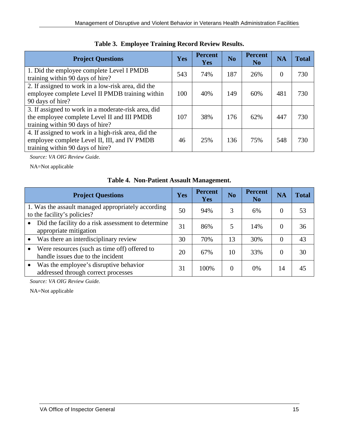| <b>Project Questions</b>                                                                                                                | <b>Yes</b> | <b>Percent</b><br><b>Yes</b> | N <sub>0</sub> | <b>Percent</b><br>N <sub>0</sub> | <b>NA</b> | <b>Total</b> |
|-----------------------------------------------------------------------------------------------------------------------------------------|------------|------------------------------|----------------|----------------------------------|-----------|--------------|
| 1. Did the employee complete Level I PMDB<br>training within 90 days of hire?                                                           | 543        | 74%                          | 187            | 26%                              | 0         | 730          |
| 2. If assigned to work in a low-risk area, did the<br>employee complete Level II PMDB training within<br>90 days of hire?               | 100        | 40%                          | 149            | 60%                              | 481       | 730          |
| 3. If assigned to work in a moderate-risk area, did<br>the employee complete Level II and III PMDB<br>training within 90 days of hire?  | 107        | 38%                          | 176            | 62%                              | 447       | 730          |
| 4. If assigned to work in a high-risk area, did the<br>employee complete Level II, III, and IV PMDB<br>training within 90 days of hire? | 46         | 25%                          | 136            | 75%                              | 548       | 730          |

| Table 3. Employee Training Record Review Results. |  |  |  |  |  |  |
|---------------------------------------------------|--|--|--|--|--|--|
|---------------------------------------------------|--|--|--|--|--|--|

*Source: VA OIG Review Guide.* 

NA=Not applicable

|  |  |  | <b>Table 4. Non-Patient Assault Management.</b> |
|--|--|--|-------------------------------------------------|
|--|--|--|-------------------------------------------------|

| <b>Project Questions</b>                                                          | Yes | <b>Percent</b><br>Yes | N <sub>o</sub> | <b>Percent</b><br>N <sub>o</sub> | <b>NA</b> | <b>Total</b> |
|-----------------------------------------------------------------------------------|-----|-----------------------|----------------|----------------------------------|-----------|--------------|
| 1. Was the assault managed appropriately according<br>to the facility's policies? | 50  | 94%                   | 3              | 6%                               | $\Omega$  | 53           |
| Did the facility do a risk assessment to determine<br>appropriate mitigation      | 31  | 86%                   | 5              | 14%                              | $\Omega$  | 36           |
| Was there an interdisciplinary review                                             | 30  | 70%                   | 13             | 30%                              | $\Omega$  | 43           |
| Were resources (such as time off) offered to<br>handle issues due to the incident | 20  | 67%                   | 10             | 33%                              | $\Omega$  | 30           |
| Was the employee's disruptive behavior<br>addressed through correct processes     | 31  | 100%                  | 0              | 0%                               | 14        | 45           |

*Source: VA OIG Review Guide.* 

NA=Not applicable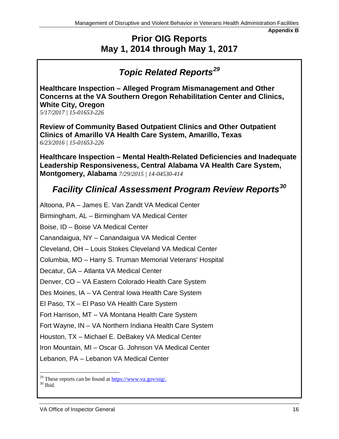**Appendix B**

## **Prior OIG Reports May 1, 2014 through May 1, 2017**

## *Topic Related Reports[29](#page-21-0)*

**Healthcare Inspection – Alleged Program Mismanagement and Other Concerns at the VA Southern Oregon Rehabilitation Center and Clinics, White City, Oregon** 

*5/17/2017 | 15-01653-226* 

**[Review of Community Based Outpatient Clinics and Other Outpatient](http://www.va.gov/oig/pubs/VAOIG-16-00028-337.pdf)  [Clinics of Amarillo VA Health Care System, Amarillo, Texas](http://www.va.gov/oig/pubs/VAOIG-16-00028-337.pdf)** *6/23/2016 | 15-01653-226*

**Healthcare Inspection – Mental Health-Related Deficiencies and Inadequate Leadership Responsiveness, Central Alabama VA Health Care System, Montgomery, Alabama** *7/29/2015 | 14-04530-414* 

## *Facility Clinical Assessment Program Review Reports[30](#page-21-1)*

Altoona, PA – James E. Van Zandt VA Medical Center Birmingham, AL – Birmingham VA Medical Center Boise, ID – Boise VA Medical Center Canandaigua, NY – Canandaigua VA Medical Center Cleveland, OH – Louis Stokes Cleveland VA Medical Center Columbia, MO – Harry S. Truman Memorial Veterans' Hospital Decatur, GA – Atlanta VA Medical Center Denver, CO – VA Eastern Colorado Health Care System Des Moines, IA – VA Central Iowa Health Care System El Paso, TX – El Paso VA Health Care System Fort Harrison, MT – VA Montana Health Care System Fort Wayne, IN – VA Northern Indiana Health Care System Houston, TX – Michael E. DeBakey VA Medical Center Iron Mountain, MI – Oscar G. Johnson VA Medical Center Lebanon, PA – Lebanon VA Medical Center  $\overline{a}$ 

<span id="page-21-1"></span><span id="page-21-0"></span><sup>&</sup>lt;sup>29</sup> These reports can be found at  $\frac{h(tps://www.va.gov/oig/}{h}$ . 30 Ibid.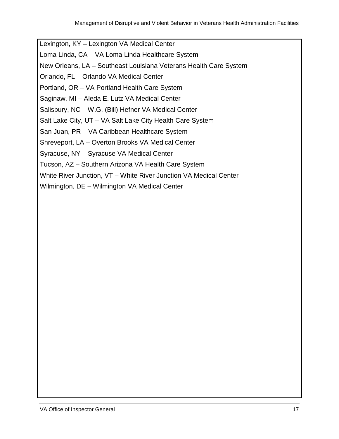Lexington, KY – Lexington VA Medical Center

Loma Linda, CA – VA Loma Linda Healthcare System

New Orleans, LA – Southeast Louisiana Veterans Health Care System

Orlando, FL – Orlando VA Medical Center

Portland, OR – VA Portland Health Care System

Saginaw, MI – Aleda E. Lutz VA Medical Center

Salisbury, NC – W.G. (Bill) Hefner VA Medical Center

Salt Lake City, UT – VA Salt Lake City Health Care System

San Juan, PR – VA Caribbean Healthcare System

Shreveport, LA – Overton Brooks VA Medical Center

Syracuse, NY – Syracuse VA Medical Center

Tucson, AZ – Southern Arizona VA Health Care System

White River Junction, VT – White River Junction VA Medical Center

Wilmington, DE – Wilmington VA Medical Center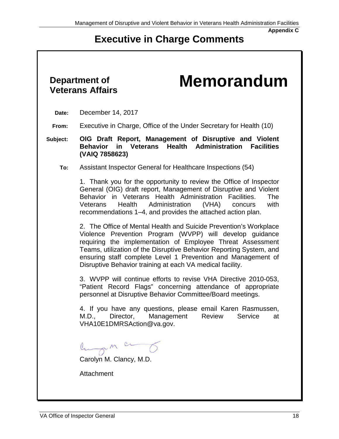## **Executive in Charge Comments**

# **Department of**

# **Veterans Affairs Memorandum**

- **Date:** December 14, 2017
- **From:** Executive in Charge, Office of the Under Secretary for Health (10)
- **Subject: OIG Draft Report, Management of Disruptive and Violent Behavior in Veterans Health Administration Facilities (VAIQ 7858623)** 
	- **To:** Assistant Inspector General for Healthcare Inspections (54)

1. Thank you for the opportunity to review the Office of Inspector General (OIG) draft report, Management of Disruptive and Violent Behavior in Veterans Health Administration Facilities. The<br>Veterans Health Administration (VHA) concurs with Veterans Health Administration (VHA) concurs recommendations 1–4, and provides the attached action plan.

2. The Office of Mental Health and Suicide Prevention's Workplace Violence Prevention Program (WVPP) will develop guidance requiring the implementation of Employee Threat Assessment Teams, utilization of the Disruptive Behavior Reporting System, and ensuring staff complete Level 1 Prevention and Management of Disruptive Behavior training at each VA medical facility.

3. WVPP will continue efforts to revise VHA Directive 2010-053, "Patient Record Flags" concerning attendance of appropriate personnel at Disruptive Behavior Committee/Board meetings.

4. If you have any questions, please email Karen Rasmussen, M.D., Director, Management Review Service at [VHA10E1DMRSAction@va.gov.](mailto:VHA10E1DMRSAction@va.gov)

lungen ce

Carolyn M. Clancy, M.D.

Attachment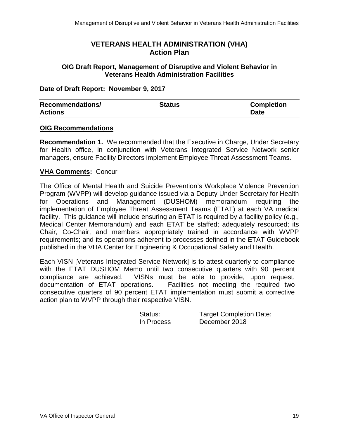#### **VETERANS HEALTH ADMINISTRATION (VHA) Action Plan**

#### **OIG Draft Report, Management of Disruptive and Violent Behavior in Veterans Health Administration Facilities**

#### **Date of Draft Report: November 9, 2017**

| <b>Recommendations/</b> | Status | <b>Completion</b> |
|-------------------------|--------|-------------------|
| <b>Actions</b>          |        | <b>Date</b>       |

#### **OIG Recommendations**

**Recommendation 1.** We recommended that the Executive in Charge, Under Secretary for Health office, in conjunction with Veterans Integrated Service Network senior managers, ensure Facility Directors implement Employee Threat Assessment Teams.

#### **VHA Comments:** Concur

The Office of Mental Health and Suicide Prevention's Workplace Violence Prevention Program (WVPP) will develop guidance issued via a Deputy Under Secretary for Health for Operations and Management (DUSHOM) memorandum requiring the implementation of Employee Threat Assessment Teams (ETAT) at each VA medical facility. This guidance will include ensuring an ETAT is required by a facility policy (e.g., Medical Center Memorandum) and each ETAT be staffed; adequately resourced; its Chair, Co-Chair, and members appropriately trained in accordance with WVPP requirements; and its operations adherent to processes defined in the ETAT Guidebook published in the VHA Center for Engineering & Occupational Safety and Health.

Each VISN [Veterans Integrated Service Network] is to attest quarterly to compliance with the ETAT DUSHOM Memo until two consecutive quarters with 90 percent compliance are achieved. VISNs must be able to provide, upon request, documentation of ETAT operations. Facilities not meeting the required two Facilities not meeting the required two consecutive quarters of 90 percent ETAT implementation must submit a corrective action plan to WVPP through their respective VISN.

| Status:    | <b>Target Completion Date:</b> |
|------------|--------------------------------|
| In Process | December 2018                  |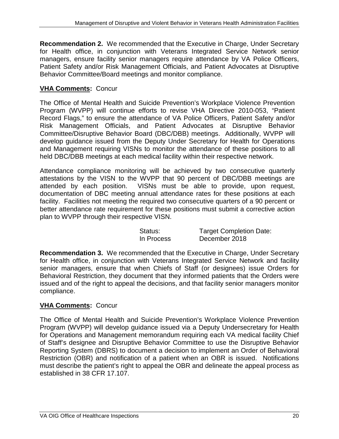**Recommendation 2.** We recommended that the Executive in Charge, Under Secretary for Health office, in conjunction with Veterans Integrated Service Network senior managers, ensure facility senior managers require attendance by VA Police Officers, Patient Safety and/or Risk Management Officials, and Patient Advocates at Disruptive Behavior Committee/Board meetings and monitor compliance.

#### **VHA Comments:** Concur

The Office of Mental Health and Suicide Prevention's Workplace Violence Prevention Program (WVPP) will continue efforts to revise VHA Directive 2010-053, "Patient Record Flags," to ensure the attendance of VA Police Officers, Patient Safety and/or Risk Management Officials, and Patient Advocates at Disruptive Behavior Committee/Disruptive Behavior Board (DBC/DBB) meetings. Additionally, WVPP will develop guidance issued from the Deputy Under Secretary for Health for Operations and Management requiring VISNs to monitor the attendance of these positions to all held DBC/DBB meetings at each medical facility within their respective network.

Attendance compliance monitoring will be achieved by two consecutive quarterly attestations by the VISN to the WVPP that 90 percent of DBC/DBB meetings are attended by each position. VISNs must be able to provide, upon request, documentation of DBC meeting annual attendance rates for these positions at each facility. Facilities not meeting the required two consecutive quarters of a 90 percent or better attendance rate requirement for these positions must submit a corrective action plan to WVPP through their respective VISN.

| Status:    | <b>Target Completion Date:</b> |
|------------|--------------------------------|
| In Process | December 2018                  |

**Recommendation 3.** We recommended that the Executive in Charge, Under Secretary for Health office, in conjunction with Veterans Integrated Service Network and facility senior managers, ensure that when Chiefs of Staff (or designees) issue Orders for Behavioral Restriction, they document that they informed patients that the Orders were issued and of the right to appeal the decisions, and that facility senior managers monitor compliance.

#### **VHA Comments:** Concur

The Office of Mental Health and Suicide Prevention's Workplace Violence Prevention Program (WVPP) will develop guidance issued via a Deputy Undersecretary for Health for Operations and Management memorandum requiring each VA medical facility Chief of Staff's designee and Disruptive Behavior Committee to use the Disruptive Behavior Reporting System (DBRS) to document a decision to implement an Order of Behavioral Restriction (OBR) and notification of a patient when an OBR is issued. Notifications must describe the patient's right to appeal the OBR and delineate the appeal process as established in 38 CFR 17.107.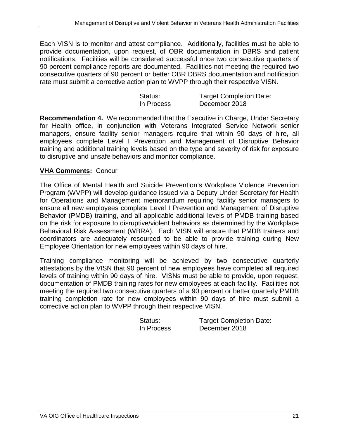Each VISN is to monitor and attest compliance. Additionally, facilities must be able to provide documentation, upon request, of OBR documentation in DBRS and patient notifications. Facilities will be considered successful once two consecutive quarters of 90 percent compliance reports are documented. Facilities not meeting the required two consecutive quarters of 90 percent or better OBR DBRS documentation and notification rate must submit a corrective action plan to WVPP through their respective VISN.

| Status:    | <b>Target Completion Date:</b> |
|------------|--------------------------------|
| In Process | December 2018                  |

**Recommendation 4.** We recommended that the Executive in Charge, Under Secretary for Health office, in conjunction with Veterans Integrated Service Network senior managers, ensure facility senior managers require that within 90 days of hire, all employees complete Level I Prevention and Management of Disruptive Behavior training and additional training levels based on the type and severity of risk for exposure to disruptive and unsafe behaviors and monitor compliance.

#### **VHA Comments:** Concur

The Office of Mental Health and Suicide Prevention's Workplace Violence Prevention Program (WVPP) will develop guidance issued via a Deputy Under Secretary for Health for Operations and Management memorandum requiring facility senior managers to ensure all new employees complete Level I Prevention and Management of Disruptive Behavior (PMDB) training, and all applicable additional levels of PMDB training based on the risk for exposure to disruptive/violent behaviors as determined by the Workplace Behavioral Risk Assessment (WBRA). Each VISN will ensure that PMDB trainers and coordinators are adequately resourced to be able to provide training during New Employee Orientation for new employees within 90 days of hire.

Training compliance monitoring will be achieved by two consecutive quarterly attestations by the VISN that 90 percent of new employees have completed all required levels of training within 90 days of hire. VISNs must be able to provide, upon request, documentation of PMDB training rates for new employees at each facility. Facilities not meeting the required two consecutive quarters of a 90 percent or better quarterly PMDB training completion rate for new employees within 90 days of hire must submit a corrective action plan to WVPP through their respective VISN.

| Status:    | <b>Target Completion Date:</b> |
|------------|--------------------------------|
| In Process | December 2018                  |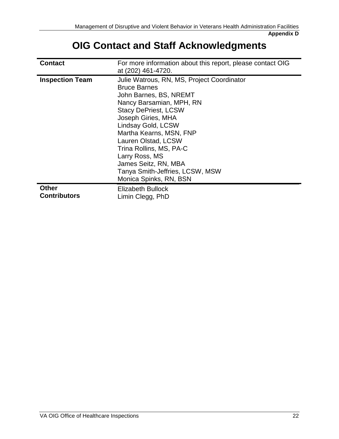## **OIG Contact and Staff Acknowledgments**

| <b>Contact</b>                      | For more information about this report, please contact OIG<br>at (202) 461-4720.                                                                                                                                                                                                                                                                                                       |
|-------------------------------------|----------------------------------------------------------------------------------------------------------------------------------------------------------------------------------------------------------------------------------------------------------------------------------------------------------------------------------------------------------------------------------------|
| <b>Inspection Team</b>              | Julie Watrous, RN, MS, Project Coordinator<br><b>Bruce Barnes</b><br>John Barnes, BS, NREMT<br>Nancy Barsamian, MPH, RN<br><b>Stacy DePriest, LCSW</b><br>Joseph Giries, MHA<br>Lindsay Gold, LCSW<br>Martha Kearns, MSN, FNP<br>Lauren Olstad, LCSW<br>Trina Rollins, MS, PA-C<br>Larry Ross, MS<br>James Seitz, RN, MBA<br>Tanya Smith-Jeffries, LCSW, MSW<br>Monica Spinks, RN, BSN |
| <b>Other</b><br><b>Contributors</b> | Elizabeth Bullock<br>Limin Clegg, PhD                                                                                                                                                                                                                                                                                                                                                  |